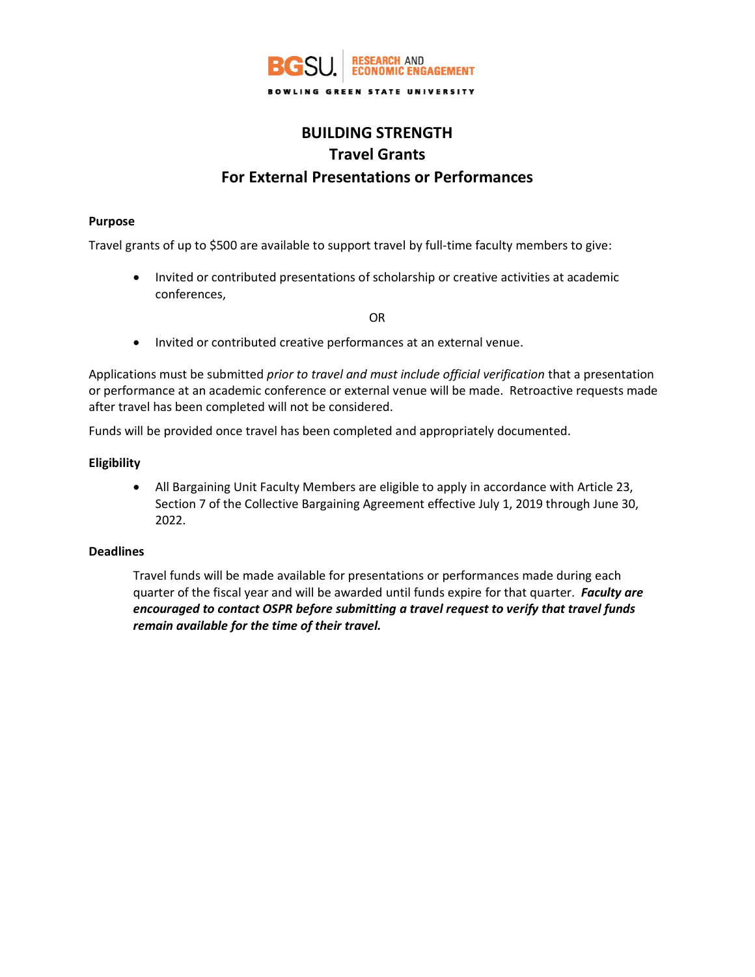

# **BUILDING STRENGTH Travel Grants For External Presentations or Performances**

## **Purpose**

Travel grants of up to \$500 are available to support travel by full-time faculty members to give:

• Invited or contributed presentations of scholarship or creative activities at academic conferences,

OR

• Invited or contributed creative performances at an external venue.

Applications must be submitted *prior to travel and must include official verification* that a presentation or performance at an academic conference or external venue will be made. Retroactive requests made after travel has been completed will not be considered.

Funds will be provided once travel has been completed and appropriately documented.

# **Eligibility**

• All Bargaining Unit Faculty Members are eligible to apply in accordance with Article 23, Section 7 of the Collective Bargaining Agreement effective July 1, 2019 through June 30, 2022.

#### **Deadlines**

Travel funds will be made available for presentations or performances made during each quarter of the fiscal year and will be awarded until funds expire for that quarter. *Faculty are encouraged to contact OSPR before submitting a travel request to verify that travel funds remain available for the time of their travel.*